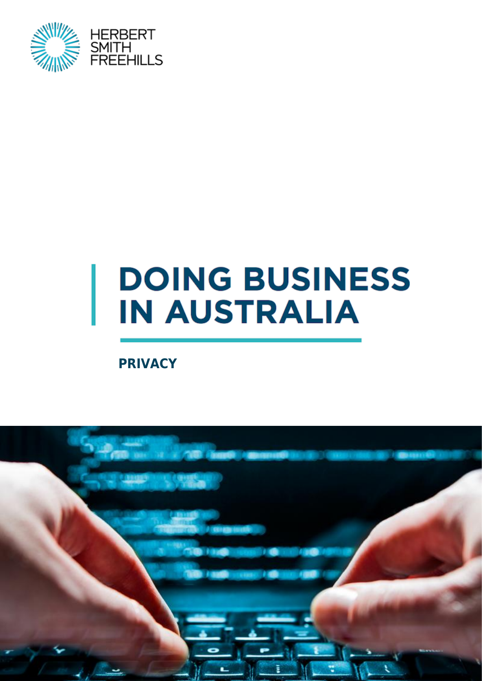

# **DOING BUSINESS IN AUSTRALIA**

**PRIVACY**

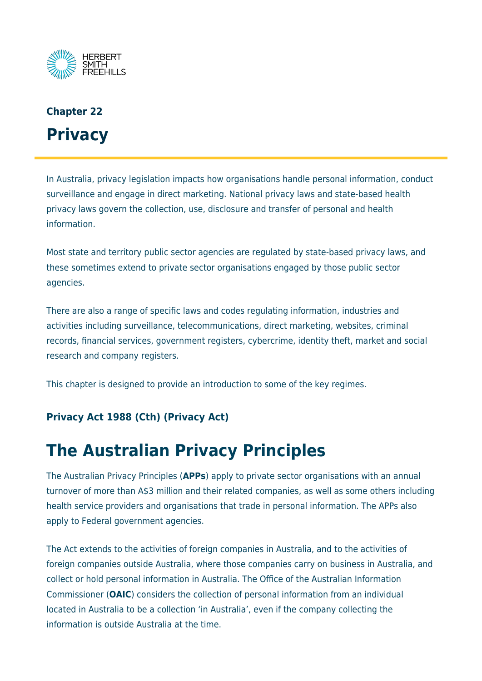

# **Chapter 22 Privacy**

In Australia, privacy legislation impacts how organisations handle personal information, conduct surveillance and engage in direct marketing. National privacy laws and state-based health privacy laws govern the collection, use, disclosure and transfer of personal and health information.

Most state and territory public sector agencies are regulated by state-based privacy laws, and these sometimes extend to private sector organisations engaged by those public sector agencies.

There are also a range of specific laws and codes regulating information, industries and activities including surveillance, telecommunications, direct marketing, websites, criminal records, financial services, government registers, cybercrime, identity theft, market and social research and company registers.

This chapter is designed to provide an introduction to some of the key regimes.

#### **Privacy Act 1988 (Cth) (Privacy Act)**

# **The Australian Privacy Principles**

The Australian Privacy Principles (**APPs**) apply to private sector organisations with an annual turnover of more than A\$3 million and their related companies, as well as some others including health service providers and organisations that trade in personal information. The APPs also apply to Federal government agencies.

The Act extends to the activities of foreign companies in Australia, and to the activities of foreign companies outside Australia, where those companies carry on business in Australia, and collect or hold personal information in Australia. The Office of the Australian Information Commissioner (**OAIC**) considers the collection of personal information from an individual located in Australia to be a collection 'in Australia', even if the company collecting the information is outside Australia at the time.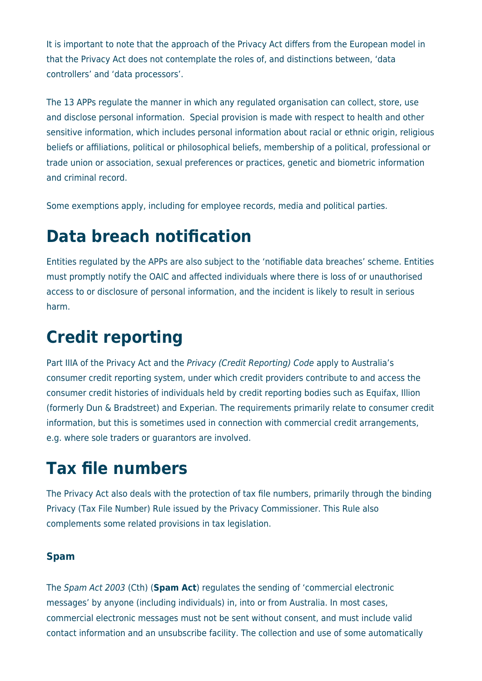It is important to note that the approach of the Privacy Act differs from the European model in that the Privacy Act does not contemplate the roles of, and distinctions between, 'data controllers' and 'data processors'.

The 13 APPs regulate the manner in which any regulated organisation can collect, store, use and disclose personal information. Special provision is made with respect to health and other sensitive information, which includes personal information about racial or ethnic origin, religious beliefs or affiliations, political or philosophical beliefs, membership of a political, professional or trade union or association, sexual preferences or practices, genetic and biometric information and criminal record.

Some exemptions apply, including for employee records, media and political parties.

## **Data breach notification**

Entities regulated by the APPs are also subject to the 'notifiable data breaches' scheme. Entities must promptly notify the OAIC and affected individuals where there is loss of or unauthorised access to or disclosure of personal information, and the incident is likely to result in serious harm.

# **Credit reporting**

Part IIIA of the Privacy Act and the Privacy (Credit Reporting) Code apply to Australia's consumer credit reporting system, under which credit providers contribute to and access the consumer credit histories of individuals held by credit reporting bodies such as Equifax, Illion (formerly Dun & Bradstreet) and Experian. The requirements primarily relate to consumer credit information, but this is sometimes used in connection with commercial credit arrangements, e.g. where sole traders or guarantors are involved.

# **Tax file numbers**

The Privacy Act also deals with the protection of tax file numbers, primarily through the binding Privacy (Tax File Number) Rule issued by the Privacy Commissioner. This Rule also complements some related provisions in tax legislation.

#### **Spam**

The Spam Act 2003 (Cth) (**Spam Act**) regulates the sending of 'commercial electronic messages' by anyone (including individuals) in, into or from Australia. In most cases, commercial electronic messages must not be sent without consent, and must include valid contact information and an unsubscribe facility. The collection and use of some automatically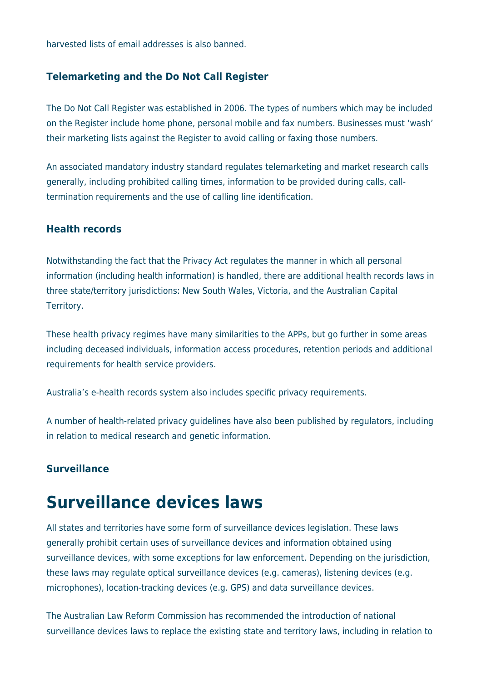harvested lists of email addresses is also banned.

#### **Telemarketing and the Do Not Call Register**

The Do Not Call Register was established in 2006. The types of numbers which may be included on the Register include home phone, personal mobile and fax numbers. Businesses must 'wash' their marketing lists against the Register to avoid calling or faxing those numbers.

An associated mandatory industry standard regulates telemarketing and market research calls generally, including prohibited calling times, information to be provided during calls, calltermination requirements and the use of calling line identification.

#### **Health records**

Notwithstanding the fact that the Privacy Act regulates the manner in which all personal information (including health information) is handled, there are additional health records laws in three state/territory jurisdictions: New South Wales, Victoria, and the Australian Capital Territory.

These health privacy regimes have many similarities to the APPs, but go further in some areas including deceased individuals, information access procedures, retention periods and additional requirements for health service providers.

Australia's e-health records system also includes specific privacy requirements.

A number of health-related privacy guidelines have also been published by regulators, including in relation to medical research and genetic information.

#### **Surveillance**

### **Surveillance devices laws**

All states and territories have some form of surveillance devices legislation. These laws generally prohibit certain uses of surveillance devices and information obtained using surveillance devices, with some exceptions for law enforcement. Depending on the jurisdiction, these laws may regulate optical surveillance devices (e.g. cameras), listening devices (e.g. microphones), location-tracking devices (e.g. GPS) and data surveillance devices.

The Australian Law Reform Commission has recommended the introduction of national surveillance devices laws to replace the existing state and territory laws, including in relation to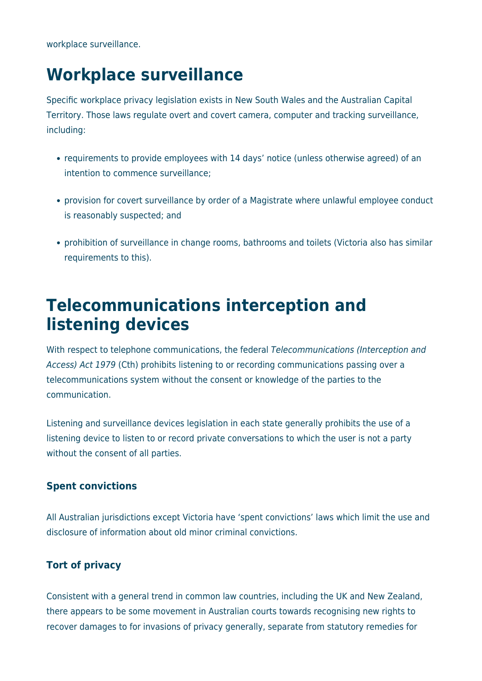workplace surveillance.

# **Workplace surveillance**

Specific workplace privacy legislation exists in New South Wales and the Australian Capital Territory. Those laws regulate overt and covert camera, computer and tracking surveillance, including:

- requirements to provide employees with 14 days' notice (unless otherwise agreed) of an intention to commence surveillance;
- provision for covert surveillance by order of a Magistrate where unlawful employee conduct is reasonably suspected; and
- prohibition of surveillance in change rooms, bathrooms and toilets (Victoria also has similar requirements to this).

### **Telecommunications interception and listening devices**

With respect to telephone communications, the federal Telecommunications (Interception and Access) Act 1979 (Cth) prohibits listening to or recording communications passing over a telecommunications system without the consent or knowledge of the parties to the communication.

Listening and surveillance devices legislation in each state generally prohibits the use of a listening device to listen to or record private conversations to which the user is not a party without the consent of all parties.

#### **Spent convictions**

All Australian jurisdictions except Victoria have 'spent convictions' laws which limit the use and disclosure of information about old minor criminal convictions.

#### **Tort of privacy**

Consistent with a general trend in common law countries, including the UK and New Zealand, there appears to be some movement in Australian courts towards recognising new rights to recover damages to for invasions of privacy generally, separate from statutory remedies for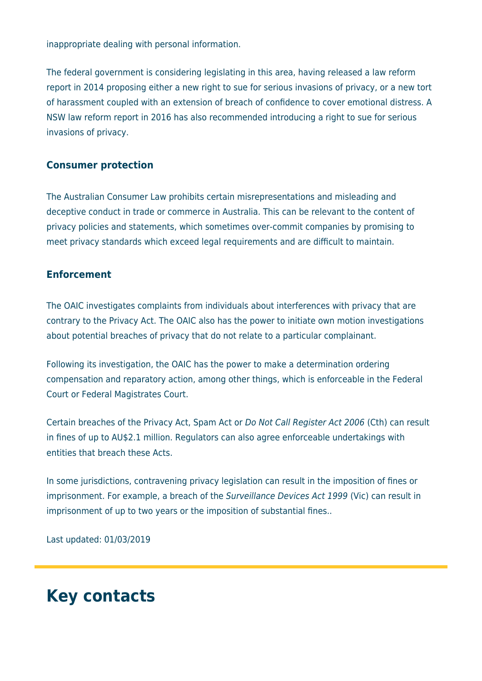inappropriate dealing with personal information.

The federal government is considering legislating in this area, having released a law reform report in 2014 proposing either a new right to sue for serious invasions of privacy, or a new tort of harassment coupled with an extension of breach of confidence to cover emotional distress. A NSW law reform report in 2016 has also recommended introducing a right to sue for serious invasions of privacy.

#### **Consumer protection**

The Australian Consumer Law prohibits certain misrepresentations and misleading and deceptive conduct in trade or commerce in Australia. This can be relevant to the content of privacy policies and statements, which sometimes over-commit companies by promising to meet privacy standards which exceed legal requirements and are difficult to maintain.

#### **Enforcement**

The OAIC investigates complaints from individuals about interferences with privacy that are contrary to the Privacy Act. The OAIC also has the power to initiate own motion investigations about potential breaches of privacy that do not relate to a particular complainant.

Following its investigation, the OAIC has the power to make a determination ordering compensation and reparatory action, among other things, which is enforceable in the Federal Court or Federal Magistrates Court.

Certain breaches of the Privacy Act, Spam Act or Do Not Call Register Act 2006 (Cth) can result in fines of up to AU\$2.1 million. Regulators can also agree enforceable undertakings with entities that breach these Acts.

In some jurisdictions, contravening privacy legislation can result in the imposition of fines or imprisonment. For example, a breach of the Surveillance Devices Act 1999 (Vic) can result in imprisonment of up to two years or the imposition of substantial fines..

Last updated: 01/03/2019

### **Key contacts**